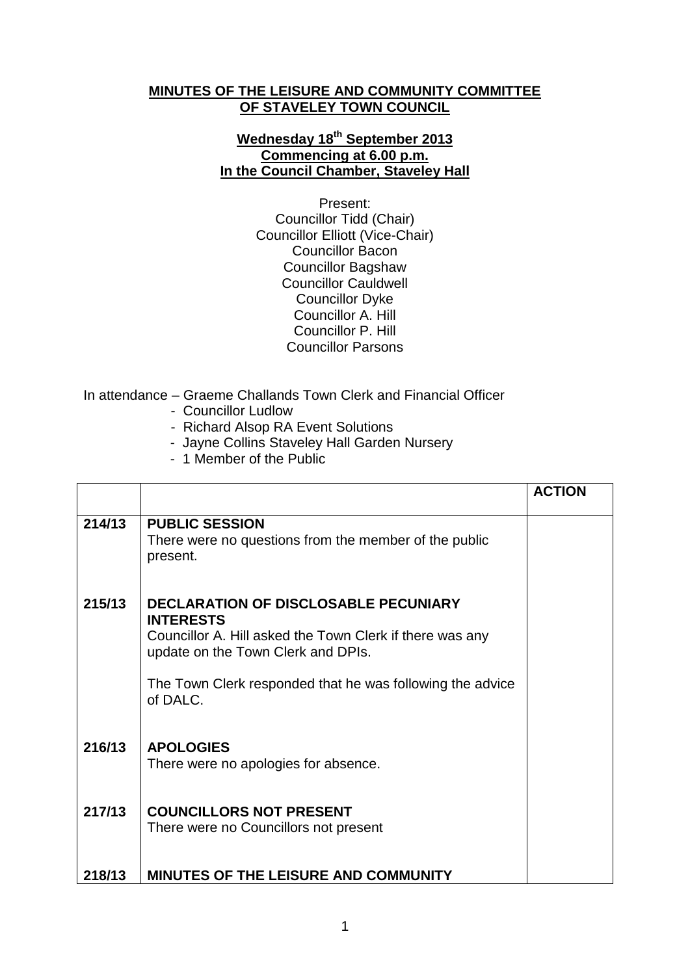## **MINUTES OF THE LEISURE AND COMMUNITY COMMITTEE OF STAVELEY TOWN COUNCIL**

## **Wednesday 18th September 2013 Commencing at 6.00 p.m. In the Council Chamber, Staveley Hall**

Present: Councillor Tidd (Chair) Councillor Elliott (Vice-Chair) Councillor Bacon Councillor Bagshaw Councillor Cauldwell Councillor Dyke Councillor A. Hill Councillor P. Hill Councillor Parsons

In attendance – Graeme Challands Town Clerk and Financial Officer

- Councillor Ludlow
- Richard Alsop RA Event Solutions
- Jayne Collins Staveley Hall Garden Nursery
- 1 Member of the Public

|        |                                                                                                                                                                   | <b>ACTION</b> |
|--------|-------------------------------------------------------------------------------------------------------------------------------------------------------------------|---------------|
| 214/13 | <b>PUBLIC SESSION</b><br>There were no questions from the member of the public<br>present.                                                                        |               |
| 215/13 | <b>DECLARATION OF DISCLOSABLE PECUNIARY</b><br><b>INTERESTS</b><br>Councillor A. Hill asked the Town Clerk if there was any<br>update on the Town Clerk and DPIs. |               |
|        | The Town Clerk responded that he was following the advice<br>of DALC.                                                                                             |               |
| 216/13 | <b>APOLOGIES</b><br>There were no apologies for absence.                                                                                                          |               |
| 217/13 | <b>COUNCILLORS NOT PRESENT</b><br>There were no Councillors not present                                                                                           |               |
| 218/13 | MINUTES OF THE LEISURE AND COMMUNITY                                                                                                                              |               |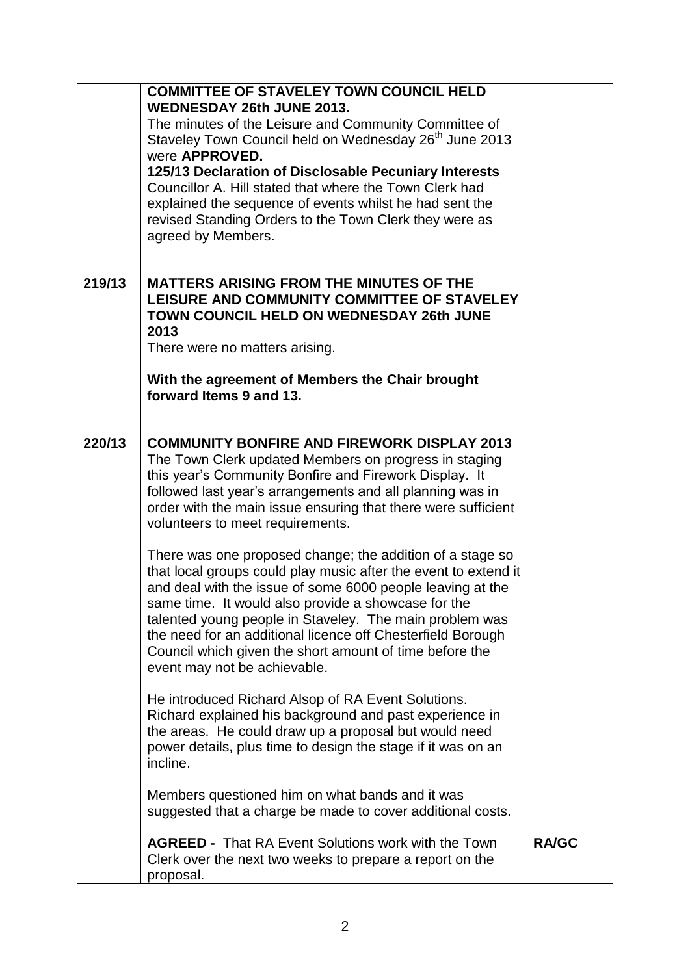|        | <b>COMMITTEE OF STAVELEY TOWN COUNCIL HELD</b><br>WEDNESDAY 26th JUNE 2013.<br>The minutes of the Leisure and Community Committee of<br>Staveley Town Council held on Wednesday 26 <sup>th</sup> June 2013<br>were APPROVED.<br>125/13 Declaration of Disclosable Pecuniary Interests<br>Councillor A. Hill stated that where the Town Clerk had<br>explained the sequence of events whilst he had sent the                                                            |              |
|--------|------------------------------------------------------------------------------------------------------------------------------------------------------------------------------------------------------------------------------------------------------------------------------------------------------------------------------------------------------------------------------------------------------------------------------------------------------------------------|--------------|
|        | revised Standing Orders to the Town Clerk they were as<br>agreed by Members.                                                                                                                                                                                                                                                                                                                                                                                           |              |
| 219/13 | <b>MATTERS ARISING FROM THE MINUTES OF THE</b><br>LEISURE AND COMMUNITY COMMITTEE OF STAVELEY<br><b>TOWN COUNCIL HELD ON WEDNESDAY 26th JUNE</b><br>2013<br>There were no matters arising.                                                                                                                                                                                                                                                                             |              |
|        | With the agreement of Members the Chair brought<br>forward Items 9 and 13.                                                                                                                                                                                                                                                                                                                                                                                             |              |
| 220/13 | <b>COMMUNITY BONFIRE AND FIREWORK DISPLAY 2013</b><br>The Town Clerk updated Members on progress in staging<br>this year's Community Bonfire and Firework Display. It<br>followed last year's arrangements and all planning was in<br>order with the main issue ensuring that there were sufficient<br>volunteers to meet requirements.                                                                                                                                |              |
|        | There was one proposed change; the addition of a stage so<br>that local groups could play music after the event to extend it<br>and deal with the issue of some 6000 people leaving at the<br>same time. It would also provide a showcase for the<br>talented young people in Staveley. The main problem was<br>the need for an additional licence off Chesterfield Borough<br>Council which given the short amount of time before the<br>event may not be achievable. |              |
|        | He introduced Richard Alsop of RA Event Solutions.<br>Richard explained his background and past experience in<br>the areas. He could draw up a proposal but would need<br>power details, plus time to design the stage if it was on an<br>incline.                                                                                                                                                                                                                     |              |
|        | Members questioned him on what bands and it was<br>suggested that a charge be made to cover additional costs.                                                                                                                                                                                                                                                                                                                                                          |              |
|        | <b>AGREED - That RA Event Solutions work with the Town</b><br>Clerk over the next two weeks to prepare a report on the<br>proposal.                                                                                                                                                                                                                                                                                                                                    | <b>RA/GC</b> |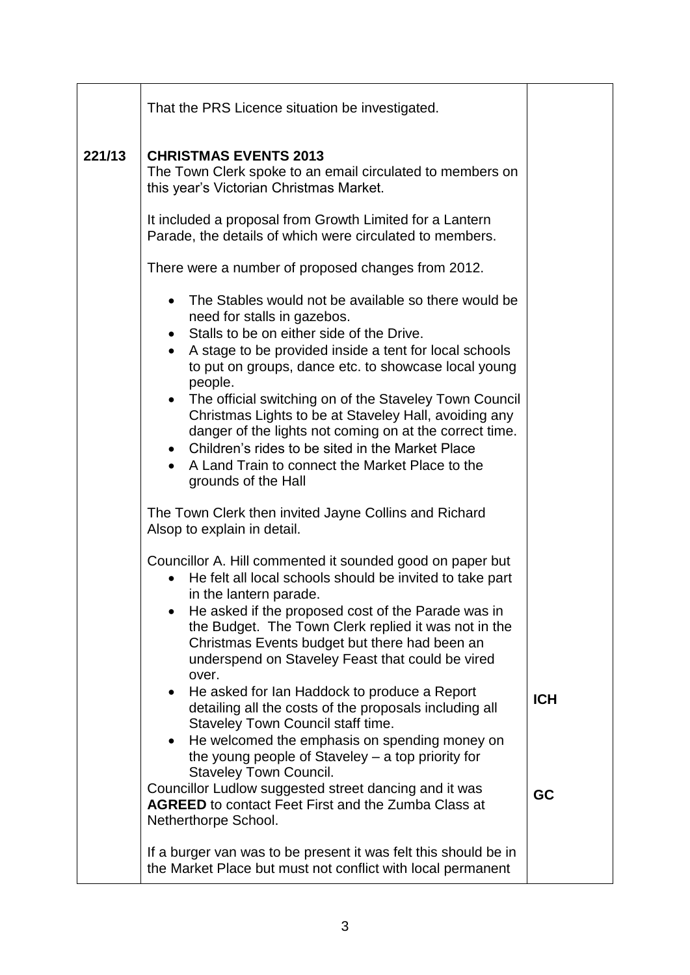|        | That the PRS Licence situation be investigated.                                                                                                                                                                                                                                                                                                                                                                                                                                                                                                                                                                                                            |            |
|--------|------------------------------------------------------------------------------------------------------------------------------------------------------------------------------------------------------------------------------------------------------------------------------------------------------------------------------------------------------------------------------------------------------------------------------------------------------------------------------------------------------------------------------------------------------------------------------------------------------------------------------------------------------------|------------|
| 221/13 | <b>CHRISTMAS EVENTS 2013</b><br>The Town Clerk spoke to an email circulated to members on<br>this year's Victorian Christmas Market.                                                                                                                                                                                                                                                                                                                                                                                                                                                                                                                       |            |
|        | It included a proposal from Growth Limited for a Lantern<br>Parade, the details of which were circulated to members.                                                                                                                                                                                                                                                                                                                                                                                                                                                                                                                                       |            |
|        | There were a number of proposed changes from 2012.                                                                                                                                                                                                                                                                                                                                                                                                                                                                                                                                                                                                         |            |
|        | The Stables would not be available so there would be<br>need for stalls in gazebos.<br>Stalls to be on either side of the Drive.<br>$\bullet$<br>A stage to be provided inside a tent for local schools<br>$\bullet$<br>to put on groups, dance etc. to showcase local young<br>people.<br>• The official switching on of the Staveley Town Council<br>Christmas Lights to be at Staveley Hall, avoiding any<br>danger of the lights not coming on at the correct time.<br>• Children's rides to be sited in the Market Place<br>A Land Train to connect the Market Place to the<br>grounds of the Hall                                                    |            |
|        | The Town Clerk then invited Jayne Collins and Richard<br>Alsop to explain in detail.                                                                                                                                                                                                                                                                                                                                                                                                                                                                                                                                                                       |            |
|        | Councillor A. Hill commented it sounded good on paper but<br>He felt all local schools should be invited to take part<br>in the lantern parade.<br>He asked if the proposed cost of the Parade was in<br>the Budget. The Town Clerk replied it was not in the<br>Christmas Events budget but there had been an<br>underspend on Staveley Feast that could be vired<br>over.<br>He asked for Ian Haddock to produce a Report<br>$\bullet$<br>detailing all the costs of the proposals including all<br>Staveley Town Council staff time.<br>He welcomed the emphasis on spending money on<br>$\bullet$<br>the young people of Staveley - a top priority for | <b>ICH</b> |
|        | <b>Staveley Town Council.</b><br>Councillor Ludlow suggested street dancing and it was<br><b>AGREED</b> to contact Feet First and the Zumba Class at<br>Netherthorpe School.                                                                                                                                                                                                                                                                                                                                                                                                                                                                               | GC         |
|        | If a burger van was to be present it was felt this should be in<br>the Market Place but must not conflict with local permanent                                                                                                                                                                                                                                                                                                                                                                                                                                                                                                                             |            |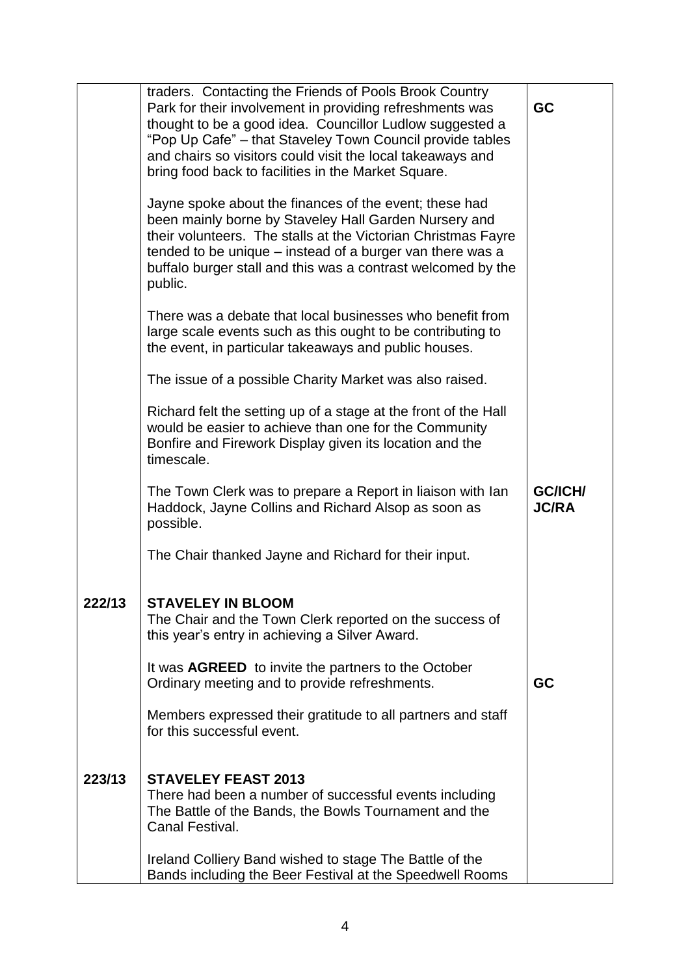|        | traders. Contacting the Friends of Pools Brook Country<br>Park for their involvement in providing refreshments was<br>thought to be a good idea. Councillor Ludlow suggested a<br>"Pop Up Cafe" – that Staveley Town Council provide tables<br>and chairs so visitors could visit the local takeaways and<br>bring food back to facilities in the Market Square. | GC                      |
|--------|------------------------------------------------------------------------------------------------------------------------------------------------------------------------------------------------------------------------------------------------------------------------------------------------------------------------------------------------------------------|-------------------------|
|        | Jayne spoke about the finances of the event; these had<br>been mainly borne by Staveley Hall Garden Nursery and<br>their volunteers. The stalls at the Victorian Christmas Fayre<br>tended to be unique – instead of a burger van there was a<br>buffalo burger stall and this was a contrast welcomed by the<br>public.                                         |                         |
|        | There was a debate that local businesses who benefit from<br>large scale events such as this ought to be contributing to<br>the event, in particular takeaways and public houses.                                                                                                                                                                                |                         |
|        | The issue of a possible Charity Market was also raised.                                                                                                                                                                                                                                                                                                          |                         |
|        | Richard felt the setting up of a stage at the front of the Hall<br>would be easier to achieve than one for the Community<br>Bonfire and Firework Display given its location and the<br>timescale.                                                                                                                                                                |                         |
|        | The Town Clerk was to prepare a Report in liaison with lan<br>Haddock, Jayne Collins and Richard Alsop as soon as<br>possible.                                                                                                                                                                                                                                   | GC/ICH/<br><b>JC/RA</b> |
|        | The Chair thanked Jayne and Richard for their input.                                                                                                                                                                                                                                                                                                             |                         |
| 222/13 | <b>STAVELEY IN BLOOM</b><br>The Chair and the Town Clerk reported on the success of<br>this year's entry in achieving a Silver Award.                                                                                                                                                                                                                            |                         |
|        | It was <b>AGREED</b> to invite the partners to the October<br>Ordinary meeting and to provide refreshments.                                                                                                                                                                                                                                                      | GC                      |
|        | Members expressed their gratitude to all partners and staff<br>for this successful event.                                                                                                                                                                                                                                                                        |                         |
| 223/13 | <b>STAVELEY FEAST 2013</b><br>There had been a number of successful events including<br>The Battle of the Bands, the Bowls Tournament and the<br>Canal Festival.                                                                                                                                                                                                 |                         |
|        | Ireland Colliery Band wished to stage The Battle of the<br>Bands including the Beer Festival at the Speedwell Rooms                                                                                                                                                                                                                                              |                         |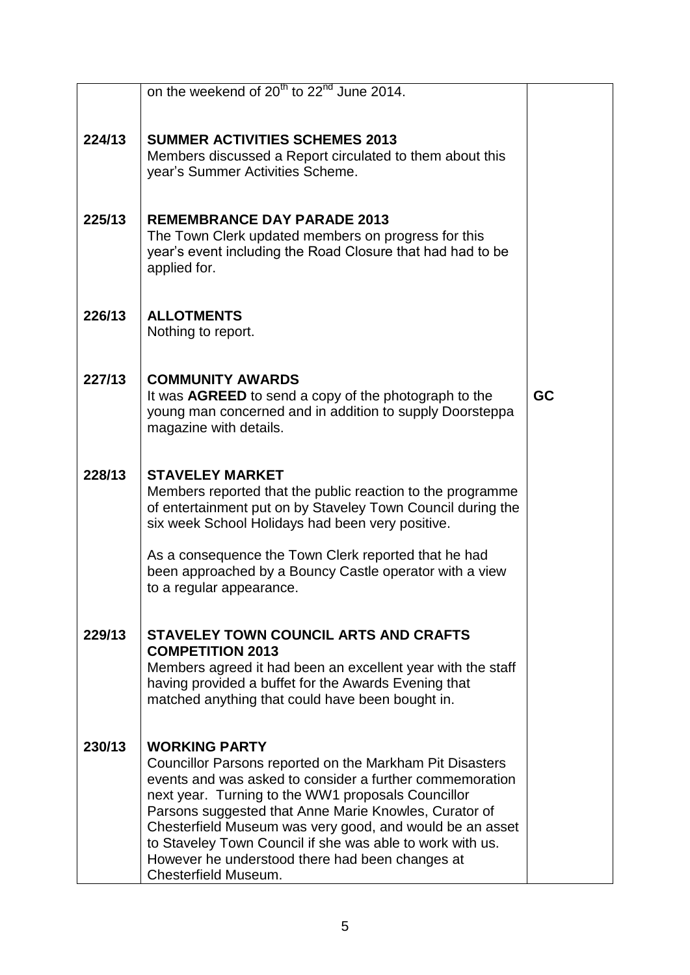|        | on the weekend of 20 <sup>th</sup> to 22 <sup>nd</sup> June 2014.                                                                                                                                                                                                                                                                                                                                                                                               |    |
|--------|-----------------------------------------------------------------------------------------------------------------------------------------------------------------------------------------------------------------------------------------------------------------------------------------------------------------------------------------------------------------------------------------------------------------------------------------------------------------|----|
|        |                                                                                                                                                                                                                                                                                                                                                                                                                                                                 |    |
| 224/13 | <b>SUMMER ACTIVITIES SCHEMES 2013</b><br>Members discussed a Report circulated to them about this<br>year's Summer Activities Scheme.                                                                                                                                                                                                                                                                                                                           |    |
| 225/13 | <b>REMEMBRANCE DAY PARADE 2013</b><br>The Town Clerk updated members on progress for this<br>year's event including the Road Closure that had had to be<br>applied for.                                                                                                                                                                                                                                                                                         |    |
| 226/13 | <b>ALLOTMENTS</b><br>Nothing to report.                                                                                                                                                                                                                                                                                                                                                                                                                         |    |
| 227/13 | <b>COMMUNITY AWARDS</b><br>It was AGREED to send a copy of the photograph to the<br>young man concerned and in addition to supply Doorsteppa<br>magazine with details.                                                                                                                                                                                                                                                                                          | GC |
| 228/13 | <b>STAVELEY MARKET</b><br>Members reported that the public reaction to the programme<br>of entertainment put on by Staveley Town Council during the<br>six week School Holidays had been very positive.                                                                                                                                                                                                                                                         |    |
|        | As a consequence the Town Clerk reported that he had<br>been approached by a Bouncy Castle operator with a view<br>to a regular appearance.                                                                                                                                                                                                                                                                                                                     |    |
| 229/13 | <b>STAVELEY TOWN COUNCIL ARTS AND CRAFTS</b>                                                                                                                                                                                                                                                                                                                                                                                                                    |    |
|        | <b>COMPETITION 2013</b><br>Members agreed it had been an excellent year with the staff<br>having provided a buffet for the Awards Evening that<br>matched anything that could have been bought in.                                                                                                                                                                                                                                                              |    |
| 230/13 | <b>WORKING PARTY</b><br>Councillor Parsons reported on the Markham Pit Disasters<br>events and was asked to consider a further commemoration<br>next year. Turning to the WW1 proposals Councillor<br>Parsons suggested that Anne Marie Knowles, Curator of<br>Chesterfield Museum was very good, and would be an asset<br>to Staveley Town Council if she was able to work with us.<br>However he understood there had been changes at<br>Chesterfield Museum. |    |